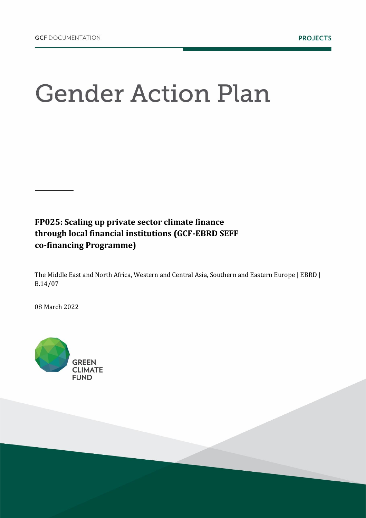## **Gender Action Plan**

**FP025: Scaling up private sector climate finance through local financial institutions (GCF-EBRD SEFF co-financing Programme)**

The Middle East and North Africa, Western and Central Asia, Southern and Eastern Europe | EBRD | B.14/07

08 March 2022

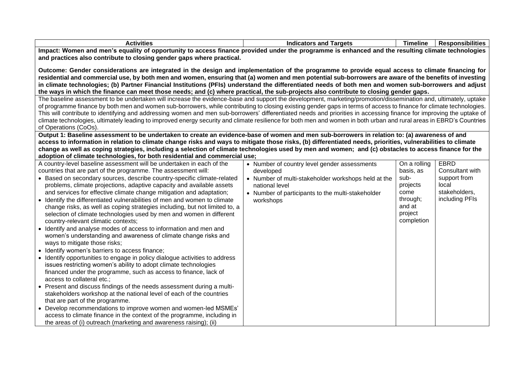| <b>ACTIVITIOS</b><br>--- | Targets<br>. anc<br>атог | --<br><b>imeline</b> | כסווונוכ |
|--------------------------|--------------------------|----------------------|----------|
|                          |                          |                      |          |

**Impact: Women and men's equality of opportunity to access finance provided under the programme is enhanced and the resulting climate technologies and practices also contribute to closing gender gaps where practical.**

**Outcome: Gender considerations are integrated in the design and implementation of the programme to provide equal access to climate financing for residential and commercial use, by both men and women, ensuring that (a) women and men potential sub-borrowers are aware of the benefits of investing in climate technologies; (b) Partner Financial Institutions (PFIs) understand the differentiated needs of both men and women sub-borrowers and adjust the ways in which the finance can meet those needs; and (c) where practical, the sub-projects also contribute to closing gender gaps.**

The baseline assessment to be undertaken will increase the evidence-base and support the development, marketing/promotion/dissemination and, ultimately, uptake of programme finance by both men and women sub-borrowers, while contributing to closing existing gender gaps in terms of access to finance for climate technologies. This will contribute to identifying and addressing women and men sub-borrowers' differentiated needs and priorities in accessing finance for improving the uptake of climate technologies, ultimately leading to improved energy security and climate resilience for both men and women in both urban and rural areas in EBRD's Countries of Operations (CoOs).

**Output 1: Baseline assessment to be undertaken to create an evidence-base of women and men sub-borrowers in relation to: (a) awareness of and access to information in relation to climate change risks and ways to mitigate those risks, (b) differentiated needs, priorities, vulnerabilities to climate change as well as coping strategies, including a selection of climate technologies used by men and women; and (c) obstacles to access finance for the adoption of climate technologies, for both residential and commercial use;**

| A country-level baseline assessment will be undertaken in each of the                                                                                                                                                                                                                                                                                                                                                                                                                                                                                                | • Number of country level gender assessments                                                                                            | On a rolling                                                            | EBRD                                                     |
|----------------------------------------------------------------------------------------------------------------------------------------------------------------------------------------------------------------------------------------------------------------------------------------------------------------------------------------------------------------------------------------------------------------------------------------------------------------------------------------------------------------------------------------------------------------------|-----------------------------------------------------------------------------------------------------------------------------------------|-------------------------------------------------------------------------|----------------------------------------------------------|
| countries that are part of the programme. The assessment will:                                                                                                                                                                                                                                                                                                                                                                                                                                                                                                       | developed                                                                                                                               | basis, as                                                               | Consultant with                                          |
| • Based on secondary sources, describe country-specific climate-related<br>problems, climate projections, adaptive capacity and available assets<br>and services for effective climate change mitigation and adaptation;<br>Identify the differentiated vulnerabilities of men and women to climate<br>change risks, as well as coping strategies including, but not limited to, a<br>selection of climate technologies used by men and women in different<br>country-relevant climatic contexts;<br>Identify and analyse modes of access to information and men and | • Number of multi-stakeholder workshops held at the<br>national level<br>• Number of participants to the multi-stakeholder<br>workshops | sub-<br>projects<br>come<br>through;<br>and at<br>project<br>completion | support from<br>local<br>stakeholders,<br>including PFIs |
| women's understanding and awareness of climate change risks and<br>ways to mitigate those risks;                                                                                                                                                                                                                                                                                                                                                                                                                                                                     |                                                                                                                                         |                                                                         |                                                          |
| • Identify women's barriers to access finance;                                                                                                                                                                                                                                                                                                                                                                                                                                                                                                                       |                                                                                                                                         |                                                                         |                                                          |
| Identify opportunities to engage in policy dialogue activities to address<br>issues restricting women's ability to adopt climate technologies<br>financed under the programme, such as access to finance, lack of<br>access to collateral etc.;                                                                                                                                                                                                                                                                                                                      |                                                                                                                                         |                                                                         |                                                          |
| • Present and discuss findings of the needs assessment during a multi-<br>stakeholders workshop at the national level of each of the countries<br>that are part of the programme.                                                                                                                                                                                                                                                                                                                                                                                    |                                                                                                                                         |                                                                         |                                                          |
| • Develop recommendations to improve women and women-led MSMEs'<br>access to climate finance in the context of the programme, including in                                                                                                                                                                                                                                                                                                                                                                                                                           |                                                                                                                                         |                                                                         |                                                          |
| the areas of (i) outreach (marketing and awareness raising); (ii)                                                                                                                                                                                                                                                                                                                                                                                                                                                                                                    |                                                                                                                                         |                                                                         |                                                          |